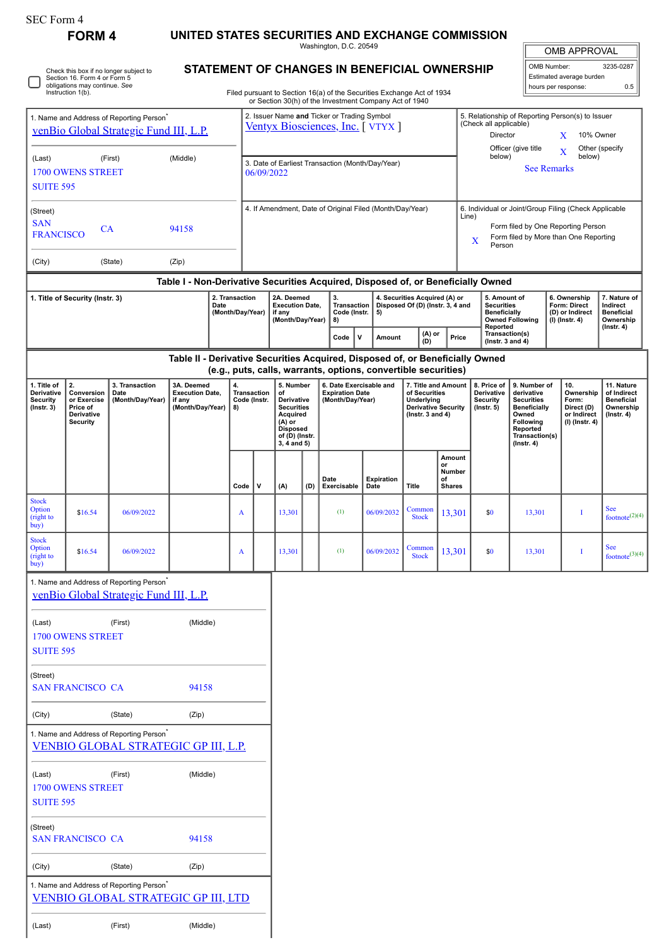|  | SEC Form 4 |  |
|--|------------|--|
|--|------------|--|

## **FORM 4 UNITED STATES SECURITIES AND EXCHANGE COMMISSION**

Washington, D.C. 20549

OMB APPROVAL

|                          | <b>OMB APPROVAL</b> |           |  |  |
|--------------------------|---------------------|-----------|--|--|
|                          | OMB Number:         | 3235-0287 |  |  |
| Estimated average burden |                     |           |  |  |
|                          | hours per response: |           |  |  |

|  | Check this box if no longer subject to<br>Section 16. Form 4 or Form 5<br>obligations may continue. See<br>Instruction 1(b). |
|--|------------------------------------------------------------------------------------------------------------------------------|
|--|------------------------------------------------------------------------------------------------------------------------------|

(Last) (First) (Middle)

## **STATEMENT OF CHANGES IN BENEFICIAL OWNERSHIP**

Filed pursuant to Section 16(a) of the Securities Exchange Act of 1934 or Section 30(h) of the Investment Company Act of 1940

| 1. Name and Address of Reporting Person <sup>®</sup><br>venBio Global Strategic Fund III, L.P. |                                                                       |                                                                                                    |                                                                    |                                                          | 2. Issuer Name and Ticker or Trading Symbol<br>5. Relationship of Reporting Person(s) to Issuer<br>(Check all applicable)<br>Ventyx Biosciences, Inc. [VTYX]<br>Director<br>10% Owner<br>X<br>Officer (give title<br>Other (specify |                                                                                                                                                               |                                                                                                                                                                                                   |                                                                       |                                                                                                                                                 |                                                                                                                                                                        |                         |                                                           |                                                                                                                                                |                                               |                                                                          |                                                                                 |                                                       |
|------------------------------------------------------------------------------------------------|-----------------------------------------------------------------------|----------------------------------------------------------------------------------------------------|--------------------------------------------------------------------|----------------------------------------------------------|-------------------------------------------------------------------------------------------------------------------------------------------------------------------------------------------------------------------------------------|---------------------------------------------------------------------------------------------------------------------------------------------------------------|---------------------------------------------------------------------------------------------------------------------------------------------------------------------------------------------------|-----------------------------------------------------------------------|-------------------------------------------------------------------------------------------------------------------------------------------------|------------------------------------------------------------------------------------------------------------------------------------------------------------------------|-------------------------|-----------------------------------------------------------|------------------------------------------------------------------------------------------------------------------------------------------------|-----------------------------------------------|--------------------------------------------------------------------------|---------------------------------------------------------------------------------|-------------------------------------------------------|
| (Last)<br><b>SUITE 595</b>                                                                     | <b>1700 OWENS STREET</b>                                              | (First)                                                                                            | (Middle)                                                           |                                                          |                                                                                                                                                                                                                                     | 3. Date of Earliest Transaction (Month/Day/Year)<br>06/09/2022                                                                                                |                                                                                                                                                                                                   |                                                                       |                                                                                                                                                 |                                                                                                                                                                        |                         |                                                           | below)                                                                                                                                         | <b>See Remarks</b>                            |                                                                          | X<br>below)                                                                     |                                                       |
| (Street)<br><b>SAN</b><br>94158<br><b>CA</b><br><b>FRANCISCO</b>                               |                                                                       |                                                                                                    |                                                                    | 4. If Amendment, Date of Original Filed (Month/Day/Year) |                                                                                                                                                                                                                                     |                                                                                                                                                               |                                                                                                                                                                                                   |                                                                       |                                                                                                                                                 | 6. Individual or Joint/Group Filing (Check Applicable<br>Line)<br>Form filed by One Reporting Person<br>Form filed by More than One Reporting<br>$\mathbf X$<br>Person |                         |                                                           |                                                                                                                                                |                                               |                                                                          |                                                                                 |                                                       |
| (City)                                                                                         |                                                                       | (State)                                                                                            | (Zip)                                                              |                                                          |                                                                                                                                                                                                                                     |                                                                                                                                                               |                                                                                                                                                                                                   |                                                                       |                                                                                                                                                 |                                                                                                                                                                        |                         |                                                           |                                                                                                                                                |                                               |                                                                          |                                                                                 |                                                       |
| 2. Transaction<br>1. Title of Security (Instr. 3)<br>Date<br>(Month/Day/Year)                  |                                                                       |                                                                                                    |                                                                    | 2A. Deemed<br><b>Execution Date,</b><br>if any           |                                                                                                                                                                                                                                     | 3.                                                                                                                                                            | Table I - Non-Derivative Securities Acquired, Disposed of, or Beneficially Owned<br>4. Securities Acquired (A) or<br>Disposed Of (D) (Instr. 3, 4 and<br><b>Transaction</b><br>Code (Instr.<br>5) |                                                                       |                                                                                                                                                 | 5. Amount of<br><b>Securities</b><br>Beneficially                                                                                                                      |                         | 6. Ownership<br><b>Form: Direct</b><br>(D) or Indirect    |                                                                                                                                                | 7. Nature of<br>Indirect<br><b>Beneficial</b> |                                                                          |                                                                                 |                                                       |
|                                                                                                |                                                                       |                                                                                                    |                                                                    |                                                          |                                                                                                                                                                                                                                     |                                                                                                                                                               | (Month/Day/Year)                                                                                                                                                                                  |                                                                       | 8)<br>v<br>Code                                                                                                                                 |                                                                                                                                                                        | (A) or<br>Amount<br>(D) |                                                           | Reported<br>Transaction(s)<br>Price<br>$($ lnstr. 3 and 4 $)$                                                                                  | <b>Owned Following</b>                        |                                                                          | (I) (Instr. 4)                                                                  | Ownership<br>(Instr. 4)                               |
|                                                                                                |                                                                       |                                                                                                    |                                                                    |                                                          |                                                                                                                                                                                                                                     |                                                                                                                                                               |                                                                                                                                                                                                   |                                                                       | Table II - Derivative Securities Acquired, Disposed of, or Beneficially Owned<br>(e.g., puts, calls, warrants, options, convertible securities) |                                                                                                                                                                        |                         |                                                           |                                                                                                                                                |                                               |                                                                          |                                                                                 |                                                       |
| 1. Title of<br>Derivative<br><b>Security</b><br>$($ Instr. 3 $)$                               | 2.<br>Conversion<br>or Exercise<br>Price of<br>Derivative<br>Security | 3. Transaction<br>Date<br>(Month/Day/Year)                                                         | 3A. Deemed<br><b>Execution Date,</b><br>if any<br>(Month/Day/Year) |                                                          | 4.<br>8)                                                                                                                                                                                                                            | 5. Number<br>Transaction<br>of<br>Code (Instr.<br>Derivative<br><b>Securities</b><br>Acquired<br>$(A)$ or<br><b>Disposed</b><br>of (D) (Instr.<br>3, 4 and 5) |                                                                                                                                                                                                   | 6. Date Exercisable and<br><b>Expiration Date</b><br>(Month/Day/Year) |                                                                                                                                                 | 7. Title and Amount<br>of Securities<br>Underlying<br><b>Derivative Security</b><br>( $lnstr. 3 and 4$ )                                                               |                         | 8. Price of<br>Derivative<br>Security<br>$($ Instr. 5 $)$ | 9. Number of<br>derivative<br><b>Securities</b><br><b>Beneficially</b><br>Owned<br>Following<br>Reported<br>Transaction(s)<br>$($ Instr. 4 $)$ |                                               | 10.<br>Ownership<br>Form:<br>Direct (D)<br>or Indirect<br>(I) (Instr. 4) | 11. Nature<br>of Indirect<br><b>Beneficial</b><br>Ownership<br>$($ Instr. 4 $)$ |                                                       |
|                                                                                                |                                                                       |                                                                                                    |                                                                    |                                                          | Code                                                                                                                                                                                                                                | v                                                                                                                                                             | (A)                                                                                                                                                                                               | (D)                                                                   | Date<br>Exercisable                                                                                                                             | Expiration<br>Date                                                                                                                                                     | Title                   | Amount<br>or<br>Number<br>of<br><b>Shares</b>             |                                                                                                                                                |                                               |                                                                          |                                                                                 |                                                       |
| <b>Stock</b><br>Option<br>(right to<br>buy)                                                    | \$16.54                                                               | 06/09/2022                                                                                         |                                                                    |                                                          | A                                                                                                                                                                                                                                   |                                                                                                                                                               | 13,301                                                                                                                                                                                            |                                                                       | (1)                                                                                                                                             | 06/09/2032                                                                                                                                                             | Common<br><b>Stock</b>  | 13,301                                                    | \$0                                                                                                                                            | 13,301                                        |                                                                          | I                                                                               | <b>See</b><br>footnote <sup><math>(2)(4)</math></sup> |
| <b>Stock</b><br>Option<br>(right to<br>buy)                                                    | \$16.54                                                               | 06/09/2022                                                                                         |                                                                    |                                                          | A                                                                                                                                                                                                                                   |                                                                                                                                                               | 13,301                                                                                                                                                                                            |                                                                       | (1)                                                                                                                                             | 06/09/2032                                                                                                                                                             | Common<br><b>Stock</b>  | 13,301                                                    | \$0                                                                                                                                            | 13,301                                        |                                                                          | I                                                                               | <b>See</b><br>footnote <sup>(3)(4)</sup>              |
|                                                                                                |                                                                       | 1. Name and Address of Reporting Person <sup>*</sup><br>venBio Global Strategic Fund III, L.P.     |                                                                    |                                                          |                                                                                                                                                                                                                                     |                                                                                                                                                               |                                                                                                                                                                                                   |                                                                       |                                                                                                                                                 |                                                                                                                                                                        |                         |                                                           |                                                                                                                                                |                                               |                                                                          |                                                                                 |                                                       |
| (Middle)<br>(Last)<br>(First)<br><b>1700 OWENS STREET</b><br><b>SUITE 595</b>                  |                                                                       |                                                                                                    |                                                                    |                                                          |                                                                                                                                                                                                                                     |                                                                                                                                                               |                                                                                                                                                                                                   |                                                                       |                                                                                                                                                 |                                                                                                                                                                        |                         |                                                           |                                                                                                                                                |                                               |                                                                          |                                                                                 |                                                       |
| (Street)                                                                                       | <b>SAN FRANCISCO CA</b>                                               |                                                                                                    | 94158                                                              |                                                          |                                                                                                                                                                                                                                     |                                                                                                                                                               |                                                                                                                                                                                                   |                                                                       |                                                                                                                                                 |                                                                                                                                                                        |                         |                                                           |                                                                                                                                                |                                               |                                                                          |                                                                                 |                                                       |
| (City)                                                                                         |                                                                       | (State)                                                                                            | (Zip)                                                              |                                                          |                                                                                                                                                                                                                                     |                                                                                                                                                               |                                                                                                                                                                                                   |                                                                       |                                                                                                                                                 |                                                                                                                                                                        |                         |                                                           |                                                                                                                                                |                                               |                                                                          |                                                                                 |                                                       |
| 1. Name and Address of Reporting Person <sup>®</sup><br>VENBIO GLOBAL STRATEGIC GP III, L.P.   |                                                                       |                                                                                                    |                                                                    |                                                          |                                                                                                                                                                                                                                     |                                                                                                                                                               |                                                                                                                                                                                                   |                                                                       |                                                                                                                                                 |                                                                                                                                                                        |                         |                                                           |                                                                                                                                                |                                               |                                                                          |                                                                                 |                                                       |
| (Middle)<br>(Last)<br>(First)<br><b>1700 OWENS STREET</b><br><b>SUITE 595</b>                  |                                                                       |                                                                                                    |                                                                    |                                                          |                                                                                                                                                                                                                                     |                                                                                                                                                               |                                                                                                                                                                                                   |                                                                       |                                                                                                                                                 |                                                                                                                                                                        |                         |                                                           |                                                                                                                                                |                                               |                                                                          |                                                                                 |                                                       |
| (Street)<br>94158<br><b>SAN FRANCISCO CA</b>                                                   |                                                                       |                                                                                                    |                                                                    |                                                          |                                                                                                                                                                                                                                     |                                                                                                                                                               |                                                                                                                                                                                                   |                                                                       |                                                                                                                                                 |                                                                                                                                                                        |                         |                                                           |                                                                                                                                                |                                               |                                                                          |                                                                                 |                                                       |
| (City)                                                                                         |                                                                       | (State)<br>(Zip)                                                                                   |                                                                    |                                                          |                                                                                                                                                                                                                                     |                                                                                                                                                               |                                                                                                                                                                                                   |                                                                       |                                                                                                                                                 |                                                                                                                                                                        |                         |                                                           |                                                                                                                                                |                                               |                                                                          |                                                                                 |                                                       |
|                                                                                                |                                                                       | 1. Name and Address of Reporting Person <sup>*</sup><br><b>VENBIO GLOBAL STRATEGIC GP III, LTD</b> |                                                                    |                                                          |                                                                                                                                                                                                                                     |                                                                                                                                                               |                                                                                                                                                                                                   |                                                                       |                                                                                                                                                 |                                                                                                                                                                        |                         |                                                           |                                                                                                                                                |                                               |                                                                          |                                                                                 |                                                       |